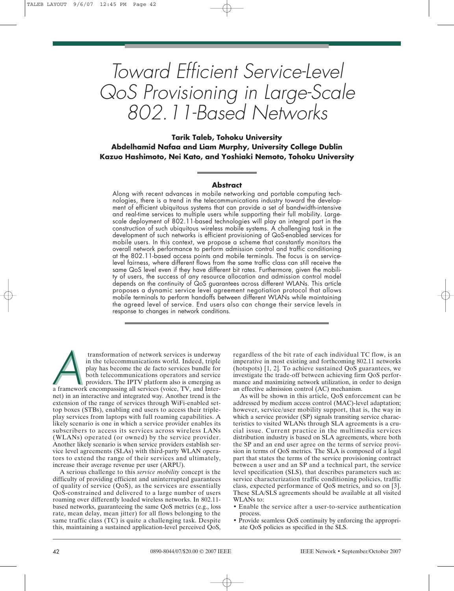

**Tarik Taleb, Tohoku University Abdelhamid Nafaa and Liam Murphy, University College Dublin Kazuo Hashimoto, Nei Kato, and Yoshiaki Nemoto, Tohoku University**

#### **Abstract**

Along with recent advances in mobile networking and portable computing technologies, there is a trend in the telecommunications industry toward the development of efficient ubiquitous systems that can provide a set of bandwidth-intensive and real-time services to multiple users while supporting their full mobility. Largescale deployment of 802.11-based technologies will play an integral part in the construction of such ubiquitous wireless mobile systems. A challenging task in the development of such networks is efficient provisioning of QoS-enabled services for mobile users. In this context, we propose a scheme that constantly monitors the overall network performance to perform admission control and traffic conditioning at the 802.11-based access points and mobile terminals. The focus is on servicelevel fairness, where different flows from the same traffic class can still receive the same QoS level even if they have different bit rates. Furthermore, given the mobility of users, the success of any resource allocation and admission control model depends on the continuity of QoS guarantees across different WLANs. This article proposes a dynamic service level agreement negotiation protocol that allows mobile terminals to perform handoffs between different WLANs while maintaining the agreed level of service. End users also can change their service levels in response to changes in network conditions.

transformation of network services is underway in the telecommunications world. Indeed, triple play has become the de facto services bundle for both telecommunications operators and service providers. The IPTV platform also is emerging as transformation of network services is underway<br>in the telecommunications world. Indeed, triple<br>play has become the de facto services bundle for<br>both telecommunications operators and service<br>providers. The IPTV platform als net) in an interactive and integrated way. Another trend is the extension of the range of services through WiFi-enabled settop boxes (STBs), enabling end users to access their tripleplay services from laptops with full roaming capabilities. A likely scenario is one in which a service provider enables its subscribers to access its services across wireless LANs (WLANs) operated (or owned) by the service provider. Another likely scenario is when service providers establish service level agreements (SLAs) with third-party WLAN operators to extend the range of their services and ultimately, increase their average revenue per user (ARPU).

A serious challenge to this *service mobility* concept is the difficulty of providing efficient and uninterrupted guarantees of quality of service (QoS), as the services are essentially QoS-constrained and delivered to a large number of users roaming over differently loaded wireless networks. In 802.11 based networks, guaranteeing the same QoS metrics (e.g., loss rate, mean delay, mean jitter) for all flows belonging to the same traffic class (TC) is quite a challenging task. Despite this, maintaining a sustained application-level perceived QoS, regardless of the bit rate of each individual TC flow, is an imperative in most existing and forthcoming 802.11 networks (hotspots) [1, 2]. To achieve sustained QoS guarantees, we investigate the trade-off between achieving firm QoS performance and maximizing network utilization, in order to design an effective admission control (AC) mechanism.

As will be shown in this article, QoS enforcement can be addressed by medium access control (MAC)-level adaptation; however, service/user mobility support, that is, the way in which a service provider (SP) signals transiting service characteristics to visited WLANs through SLA agreements is a crucial issue. Current practice in the multimedia services distribution industry is based on SLA agreements, where both the SP and an end user agree on the terms of service provision in terms of QoS metrics. The SLA is composed of a legal part that states the terms of the service provisioning contract between a user and an SP and a technical part, the service level specification (SLS), that describes parameters such as: service characterization traffic conditioning policies, traffic class, expected performance of QoS metrics, and so on [3]. These SLA/SLS agreements should be available at all visited WLANs to:

- Enable the service after a user-to-service authentication process.
- Provide seamless QoS continuity by enforcing the appropriate QoS policies as specified in the SLS.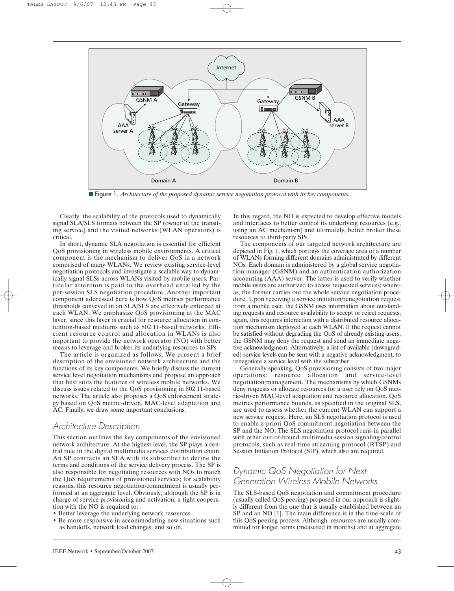

**■** Figure 1. *Architecture of the proposed dynamic service negotiation protocol with its key components.*

Clearly, the scalability of the protocols used to dynamically signal SLA/SLS formats between the SP (owner of the transiting service) and the visited networks (WLAN operators) is critical.

In short, dynamic SLA negotiation is essential for efficient QoS provisioning in wireless mobile environments. A critical component is the mechanism to deliver QoS in a network comprised of many WLANs. We review existing service-level negotiation protocols and investigate a scalable way to dynamically signal SLSs across WLANs visited by mobile users. Particular attention is paid to the overhead entailed by the per-session SLS negotiation procedure. Another important component addressed here is how QoS metrics performance thresholds conveyed in an SLA/SLS are effectively enforced at each WLAN. We emphasize QoS provisioning at the MAC layer, since this layer is crucial for resource allocation in contention-based mediums such as 802.11-based networks. Efficient resource control and allocation in WLANs is also important to provide the network operator (NO) with better means to leverage and broker its underlying resources to SPs.

The article is organized as follows. We present a brief description of the envisioned network architecture and the functions of its key components. We briefly discuss the current service level negotiation mechanisms and propose an approach that best suits the features of wireless mobile networks. We discuss issues related to the QoS provisioning in 802.11-based networks. The article also proposes a QoS enforcement strategy based on QoS metric-driven, MAC-level adaptation and AC. Finally, we draw some important conclusions.

# Architecture Description

This section outlines the key components of the envisioned network architecture. At the highest level, the SP plays a central role in the digital multimedia services distribution chain. An SP contracts an SLA with its subscriber to define the terms and conditions of the service delivery process. The SP is also responsible for negotiating resources with NOs to match the QoS requirements of provisioned services; for scalability reasons, this resource negotiation/commitment is usually performed at an aggregate level. Obviously, although the SP is in charge of service provisioning and activation, a tight cooperation with the NO is required to:

• Better leverage the underlying network resources.

• Be more responsive in accommodating new situations such as handoffs, network load changes, and so on.

In this regard, the NO is expected to develop effective models and interfaces to better control its underlying resources (e.g., using an AC mechanism) and ultimately, better broker these resources to third-party SPs.

The components of our targeted network architecture are depicted in Fig. 1, which portrays the coverage area of a number of WLANs forming different domains administrated by different NOs. Each domain is administered by a global service negotiation manager (GSNM) and an authentication authorization accounting (AAA) server. The latter is used to verify whether mobile users are authorized to access requested services; whereas, the former carries out the whole service negotiation procedure. Upon receiving a service initiation/renegotiation request from a mobile user, the GSNM uses information about outstanding requests and resource availability to accept or reject requests; again, this requires interaction with a distributed resource allocation mechanism deployed at each WLAN. If the request cannot be satisfied without degrading the QoS of already existing users, the GSNM may deny the request and send an immediate negative acknowledgment. Alternatively, a list of available (downgraded) service levels can be sent with a negative acknowledgment, to renegotiate a service level with the subscriber.

Generally speaking, QoS provisioning consists of two major operations: resource allocation and service-level negotiation/management. The mechanisms by which GSNMs deny requests or allocate resources for a user rely on QoS metric-driven MAC-level adaptation and resource allocation. QoS metrics performance bounds, as specified in the original SLS, are used to assess whether the current WLAN can support a new service request. Here, an SLS negotiation protocol is used to enable a-priori QoS commitment negotiation between the SP and the NO. The SLS negotiation protocol runs in parallel with other out-of-bound multimedia session signaling/control protocols, such as real-time streaming protocol (RTSP) and Session Initiation Protocol (SIP), which also are required.

# Dynamic QoS Negotiation for Next-Generation Wireless Mobile Networks

The SLS-based QoS negotiation and commitment procedure (usually called QoS peering) proposed in our approach is slightly different from the one that is usually established between an SP and an NO [1]. The main difference is in the time-scale of this QoS peering process. Although resources are usually committed for longer terms (measured in months) and at aggregate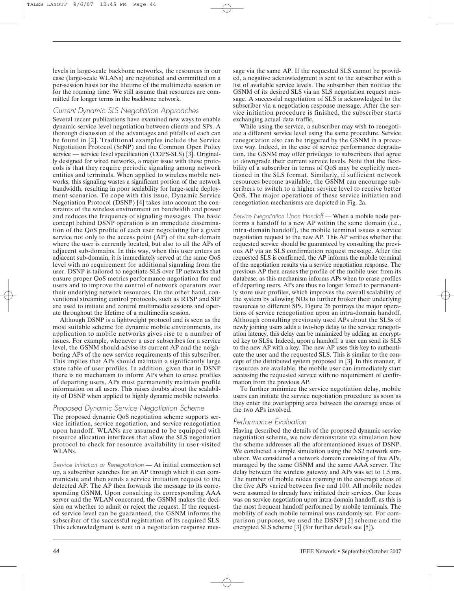levels in large-scale backbone networks, the resources in our case (large-scale WLANs) are negotiated and committed on a per-session basis for the lifetime of the multimedia session or for the roaming time. We still assume that resources are committed for longer terms in the backbone network.

# Current Dynamic SLS Negotiation Approaches

Several recent publications have examined new ways to enable dynamic service level negotiation between clients and SPs. A thorough discussion of the advantages and pitfalls of each can be found in [2]. Traditional examples include the Service Negotiation Protocol (SrNP) and the Common Open Policy service — service level specification (COPS-SLS) [3]. Originally designed for wired networks, a major issue with these protocols is that they require periodic signaling among network entities and terminals. When applied to wireless mobile networks, this signaling wastes a significant portion of the network bandwidth, resulting in poor scalability for large-scale deployment scenarios. To cope with this issue, Dynamic Service Negotiation Protocol (DSNP) [4] takes into account the constraints of the wireless environment on bandwidth and power and reduces the frequency of signaling messages. The basic concept behind DSNP operation is an immediate dissemination of the QoS profile of each user negotiating for a given service not only to the access point (AP) of the sub-domain where the user is currently located, but also to all the APs of adjacent sub-domains. In this way, when this user enters an adjacent sub-domain, it is immediately served at the same QoS level with no requirement for additional signaling from the user. DSNP is tailored to negotiate SLS over IP networks that ensure proper QoS metrics performance negotiation for end users and to improve the control of network operators over their underlying network resources. On the other hand, conventional streaming control protocols, such as RTSP and SIP are used to initiate and control multimedia sessions and operate throughout the lifetime of a multimedia session.

Although DSNP is a lightweight protocol and is seen as the most suitable scheme for dynamic mobile environments, its application to mobile networks gives rise to a number of issues. For example, whenever a user subscribes for a service level, the GSNM should advise its current AP and the neighboring APs of the new service requirements of this subscriber. This implies that APs should maintain a significantly large state table of user profiles. In addition, given that in DSNP there is no mechanism to inform APs when to erase profiles of departing users, APs must permanently maintain profile information on all users. This raises doubts about the scalability of DSNP when applied to highly dynamic mobile networks.

## Proposed Dynamic Service Negotiation Scheme

The proposed dynamic QoS negotiation scheme supports service initiation, service negotiation, and service renegotiation upon handoff. WLANs are assumed to be equipped with resource allocation interfaces that allow the SLS negotiation protocol to check for resource availability in user-visited WLANs.

Service Initiation or Renegotiation - At initial connection set up, a subscriber searches for an AP through which it can communicate and then sends a service initiation request to the detected AP. The AP then forwards the message to its corresponding GSNM. Upon consulting its corresponding AAA server and the WLAN concerned, the GSNM makes the decision on whether to admit or reject the request. If the requested service level can be guaranteed, the GSNM informs the subscriber of the successful registration of its required SLS. This acknowledgment is sent in a negotiation response message via the same AP. If the requested SLS cannot be provided, a negative acknowledgment is sent to the subscriber with a list of available service levels. The subscriber then notifies the GSNM of its desired SLS via an SLS negotiation request message. A successful negotiation of SLS is acknowledged to the subscriber via a negotiation response message. After the service initiation procedure is finished, the subscriber starts exchanging actual data traffic.

While using the service, a subscriber may wish to renegotiate a different service level using the same procedure. Service renegotiation also can be triggered by the GSNM in a proactive way. Indeed, in the case of service performance degradation, the GSNM may offer privileges to subscribers that agree to downgrade their current service levels. Note that the flexibility of a subscriber in terms of QoS may be explicitly mentioned in the SLS format. Similarly, if sufficient network resources become available, the GSNM can encourage subscribers to switch to a higher service level to receive better QoS. The major operations of these service initiation and renegotiation mechanisms are depicted in Fig. 2a.

Service Negotiation Upon Handoff — When a mobile node performs a handoff to a new AP within the same domain (i.e., intra-domain handoff), the mobile terminal issues a service negotiation request to the new AP. This AP verifies whether the requested service should be guaranteed by consulting the previous AP via an SLS confirmation request message. After the requested SLS is confirmed, the AP informs the mobile terminal of the negotiation results via a service negotiation response. The previous AP then erases the profile of the mobile user from its database, as this mechanism informs APs when to erase profiles of departing users. APs are thus no longer forced to permanently store user profiles, which improves the overall scalability of the system by allowing NOs to further broker their underlying resources to different SPs. Figure 2b portrays the major operations of service renegotiation upon an intra-domain handoff. Although consulting previously used APs about the SLSs of newly joining users adds a two-hop delay to the service renegotiation latency, this delay can be minimized by adding an encrypted key to SLSs. Indeed, upon a handoff, a user can send its SLS to the new AP with a key. The new AP uses this key to authenticate the user and the requested SLS. This is similar to the concept of the distributed system proposed in [3]. In this manner, if resources are available, the mobile user can immediately start accessing the requested service with no requirement of confirmation from the previous AP.

To further minimize the service negotiation delay, mobile users can initiate the service negotiation procedure as soon as they enter the overlapping area between the coverage areas of the two APs involved.

## Performance Evaluation

Having described the details of the proposed dynamic service negotiation scheme, we now demonstrate via simulation how the scheme addresses all the aforementioned issues of DSNP. We conducted a simple simulation using the NS2 network simulator. We considered a network domain consisting of five APs, managed by the same GSNM and the same AAA server. The delay between the wireless gateway and APs was set to 1.5 ms. The number of mobile nodes roaming in the coverage areas of the five APs varied between five and 100. All mobile nodes were assumed to already have initiated their services. Our focus was on service negotiation upon intra-domain handoff, as this is the most frequent handoff performed by mobile terminals. The mobility of each mobile terminal was randomly set. For comparison purposes, we used the DSNP [2] scheme and the encrypted SLS scheme [3] (for further details see [5]).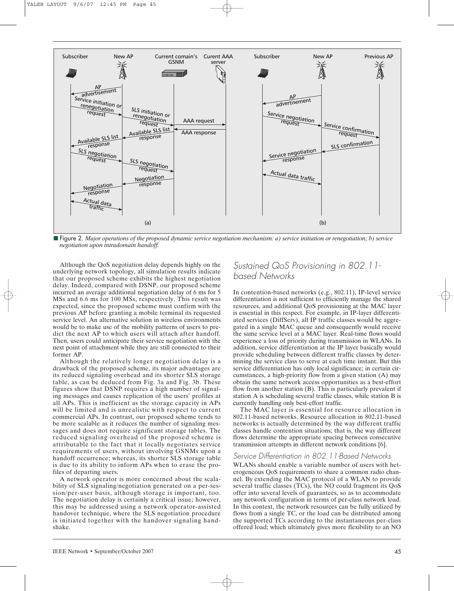

■ Figure 2. *Major operations of the proposed dynamic service negotiation mechanism: a) service initiation or renegotiation; b) service negotiation upon intradomain handoff.*

Although the QoS negotiation delay depends highly on the underlying network topology, all simulation results indicate that our proposed scheme exhibits the highest negotiation delay. Indeed, compared with DSNP, our proposed scheme incurred an average additional negotiation delay of 6 ms for 5 MSs and 6.6 ms for 100 MSs, respectively. This result was expected, since the proposed scheme must confirm with the previous AP before granting a mobile terminal its requested service level. An alternative solution in wireless environments would be to make use of the mobility patterns of users to predict the next AP to which users will attach after handoff. Then, users could anticipate their service negotiation with the next point of attachment while they are still connected to their former AP.

Although the relatively longer negotiation delay is a drawback of the proposed scheme, its major advantages are its reduced signaling overhead and its shorter SLS storage table, as can be deduced from Fig. 3a and Fig. 3b. These figures show that DSNP requires a high number of signaling messages and causes replication of the users' profiles at all APs. This is inefficient as the storage capacity in APs will be limited and is unrealistic with respect to current commercial APs. In contrast, our proposed scheme tends to be more scalable as it reduces the number of signaling messages and does not require significant storage tables. The reduced signaling overhead of the proposed scheme is attributable to the fact that it locally negotiates service requirements of users, without involving GSNMs upon a handoff occurrence; whereas, its shorter SLS storage table is due to its ability to inform APs when to erase the profiles of departing users.

A network operator is more concerned about the scalability of SLS signaling/negotiation generated on a per-session/per-user basis, although storage is important, too. The negotiation delay is certainly a critical issue; however, this may be addressed using a network operator-assisted handover technique, where the SLS negotiation procedure is initiated together with the handover signaling handshake.

# Sustained QoS Provisioning in 802.11 based Networks

In contention-based networks (e.g., 802.11), IP-level service differentiation is not sufficient to efficiently manage the shared resources, and additional QoS provisioning at the MAC layer is essential in this respect. For example, in IP-layer differentiated services (DiffServ), all IP traffic classes would be aggregated in a single MAC queue and consequently would receive the same service level at a MAC layer. Real-time flows would experience a loss of priority during transmission in WLANs. In addition, service differentiation at the IP layer basically would provide scheduling between different traffic classes by determining the service class to serve at each time instant. But this service differentiation has only local significance; in certain circumstances, a high-priority flow from a given station (A) may obtain the same network access opportunities as a best-effort flow from another station (B). This is particularly prevalent if station A is scheduling several traffic classes, while station B is currently handling only best-effort traffic.

The MAC layer is essential for resource allocation in 802.11-based networks. Resource allocation in 802.11-based networks is actually determined by the way different traffic classes handle contention situations; that is, the way different flows determine the appropriate spacing between consecutive transmission attempts in different network conditions [6].

### Service Differentiation in 802.11-Based Networks

WLANs should enable a variable number of users with heterogeneous QoS requirements to share a common radio channel. By extending the MAC protocol of a WLAN to provide several traffic classes (TCs), the NO could fragment its QoS offer into several levels of guarantees, so as to accommodate any network configuration in terms of per-class network load. In this context, the network resources can be fully utilized by flows from a single TC, or the load can be distributed among the supported TCs according to the instantaneous per-class offered load; which ultimately gives more flexibility to an NO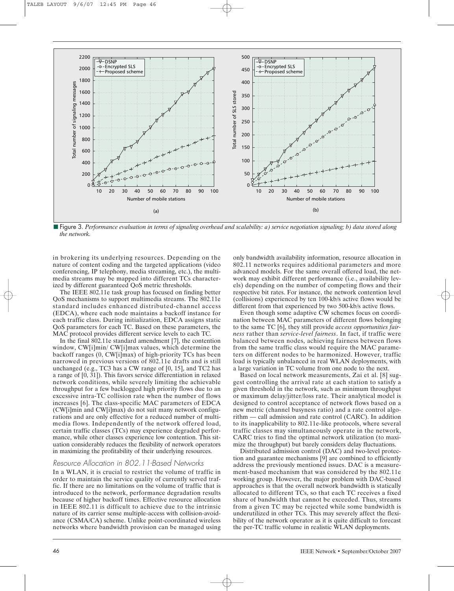

**■** Figure 3. *Performance evaluation in terms of signaling overhead and scalability: a) service negotiation signaling; b) data stored along the network.*

in brokering its underlying resources. Depending on the nature of content coding and the targeted applications (video conferencing, IP telephony, media streaming, etc.), the multimedia streams may be mapped into different TCs characterized by different guaranteed QoS metric thresholds.

The IEEE 802.11e task group has focused on finding better QoS mechanisms to support multimedia streams. The 802.11e standard includes enhanced distributed-channel access (EDCA), where each node maintains a backoff instance for each traffic class. During initialization, EDCA assigns static QoS parameters for each TC. Based on these parameters, the MAC protocol provides different service levels to each TC.

In the final 802.11e standard amendment [7], the contention window, CW[i]min/ CW[i]max values, which determine the backoff ranges (0, CW[i]max) of high-priority TCs has been narrowed in previous versions of 802.11e drafts and is still unchanged (e.g., TC3 has a CW range of [0, 15], and TC2 has a range of [0, 31]). This favors service differentiation in relaxed network conditions, while severely limiting the achievable throughput for a few backlogged high priority flows due to an excessive intra-TC collision rate when the number of flows increases [6]. The class-specific MAC parameters of EDCA (CW[i]min and CW[i]max) do not suit many network configurations and are only effective for a reduced number of multimedia flows. Independently of the network offered load, certain traffic classes (TCs) may experience degraded performance, while other classes experience low contention. This situation considerably reduces the flexibility of network operators in maximizing the profitability of their underlying resources.

### Resource Allocation in 802.11-Based Networks

In a WLAN, it is crucial to restrict the volume of traffic in order to maintain the service quality of currently served traffic. If there are no limitations on the volume of traffic that is introduced to the network, performance degradation results because of higher backoff times. Effective resource allocation in IEEE 802.11 is difficult to achieve due to the intrinsic nature of its carrier sense multiple-access with collision-avoidance (CSMA/CA) scheme. Unlike point-coordinated wireless networks where bandwidth provision can be managed using

only bandwidth availability information, resource allocation in 802.11 networks requires additional parameters and more advanced models. For the same overall offered load, the network may exhibit different performance (i.e., availability levels) depending on the number of competing flows and their respective bit rates. For instance, the network contention level (collisions) experienced by ten 100-kb/s active flows would be different from that experienced by two 500-kb/s active flows.

Even though some adaptive CW schemes focus on coordination between MAC parameters of different flows belonging to the same TC [6], they still provide *access opportunities fairness* rather than *service-level fairness*. In fact, if traffic were balanced between nodes, achieving fairness between flows from the same traffic class would require the MAC parameters on different nodes to be harmonized. However, traffic load is typically unbalanced in real WLAN deployments, with a large variation in TC volume from one node to the next.

Based on local network measurements, Zai et al. [8] suggest controlling the arrival rate at each station to satisfy a given threshold in the network, such as minimum throughput or maximum delay/jitter/loss rate. Their analytical model is designed to control acceptance of network flows based on a new metric (channel busyness ratio) and a rate control algorithm — call admission and rate control (CARC). In addition to its inapplicability to 802.11e-like protocols, where several traffic classes may simultaneously operate in the network, CARC tries to find the optimal network utilization (to maximize the throughput) but barely considers delay fluctuations.

Distributed admission control (DAC) and two-level protection and guarantee mechanisms [9] are combined to efficiently address the previously mentioned issues. DAC is a measurement-based mechanism that was considered by the 802.11e working group. However, the major problem with DAC-based approaches is that the overall network bandwidth is statically allocated to different TCs, so that each TC receives a fixed share of bandwidth that cannot be exceeded. Thus, streams from a given TC may be rejected while some bandwidth is underutilized in other TCs. This may severely affect the flexibility of the network operator as it is quite difficult to forecast the per-TC traffic volume in realistic WLAN deployments.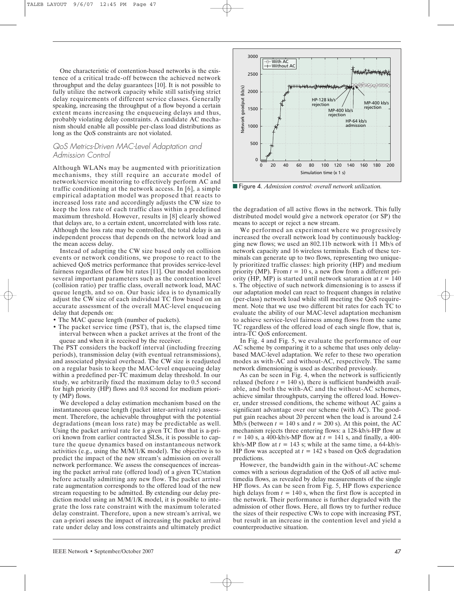One characteristic of contention-based networks is the existence of a critical trade-off between the achieved network throughput and the delay guarantees [10]. It is not possible to fully utilize the network capacity while still satisfying strict delay requirements of different service classes. Generally speaking, increasing the throughput of a flow beyond a certain extent means increasing the enqueueing delays and thus, probably violating delay constraints. A candidate AC mechanism should enable all possible per-class load distributions as long as the QoS constraints are not violated.

## QoS Metrics-Driven MAC-Level Adaptation and Admission Control

Although WLANs may be augmented with prioritization mechanisms, they still require an accurate model of network/service monitoring to effectively perform AC and traffic conditioning at the network access. In [6], a simple empirical adaptation model was proposed that reacts to increased loss rate and accordingly adjusts the CW size to keep the loss rate of each traffic class within a predefined maximum threshold. However, results in [8] clearly showed that delays are, to a certain extent, uncorrelated with loss rate. Although the loss rate may be controlled, the total delay is an independent process that depends on the network load and the mean access delay.

Instead of adapting the CW size based only on collision events or network conditions, we propose to react to the achieved QoS metrics performance that provides service-level fairness regardless of flow bit rates [11]. Our model monitors several important parameters such as the contention level (collision ratio) per traffic class, overall network load, MAC queue length, and so on. Our basic idea is to dynamically adjust the CW size of each individual TC flow based on an accurate assessment of the overall MAC-level enqueueing delay that depends on:

- The MAC queue length (number of packets).
- The packet service time (PST), that is, the elapsed time interval between when a packet arrives at the front of the queue and when it is received by the receiver.

The PST considers the backoff interval (including freezing periods), transmission delay (with eventual retransmissions), and associated physical overhead. The CW size is readjusted on a regular basis to keep the MAC-level enqueueing delay within a predefined per-TC maximum delay threshold. In our study, we arbitrarily fixed the maximum delay to 0.5 second for high priority (HP) flows and 0.8 second for medium priority (MP) flows.

We developed a delay estimation mechanism based on the instantaneous queue length (packet inter-arrival rate) assessment. Therefore, the achievable throughput with the potential degradations (mean loss rate) may be predictable as well. Using the packet arrival rate for a given TC flow that is a-priori known from earlier contracted SLSs, it is possible to capture the queue dynamics based on instantaneous network activities (e.g., using the M/M/1/K model). The objective is to predict the impact of the new stream's admission on overall network performance. We assess the consequences of increasing the packet arrival rate (offered load) of a given TC/station before actually admitting any new flow. The packet arrival rate augmentation corresponds to the offered load of the new stream requesting to be admitted. By extending our delay prediction model using an M/M/1/K model, it is possible to integrate the loss rate constraint with the maximum tolerated delay constraint. Therefore, upon a new stream's arrival, we can a-priori assess the impact of increasing the packet arrival rate under delay and loss constraints and ultimately predict



**■** Figure 4. *Admission control: overall network utilization.*

the degradation of all active flows in the network. This fully distributed model would give a network operator (or SP) the means to accept or reject a new stream.

We performed an experiment where we progressively increased the overall network load by continuously backlogging new flows; we used an 802.11b network with 11 Mb/s of network capacity and 16 wireless terminals. Each of these terminals can generate up to two flows, representing two uniquely prioritized traffic classes: high priority (HP) and medium priority (MP). From  $t = 10$  s, a new flow from a different priority (HP, MP) is started until network saturation at  $t = 140$ s. The objective of such network dimensioning is to assess if our adaptation model can react to frequent changes in relative (per-class) network load while still meeting the QoS requirement. Note that we use two different bit rates for each TC to evaluate the ability of our MAC-level adaptation mechanism to achieve service-level fairness among flows from the same TC regardless of the offered load of each single flow, that is, intra-TC QoS enforcement.

In Fig. 4 and Fig. 5, we evaluate the performance of our AC scheme by comparing it to a scheme that uses only delaybased MAC-level adaptation. We refer to these two operation modes as with-AC and without-AC, respectively. The same network dimensioning is used as described previously.

As can be seen in Fig. 4, when the network is sufficiently relaxed (before  $t = 140$  s), there is sufficient bandwidth available, and both the with-AC and the without-AC schemes, achieve similar throughputs, carrying the offered load. However, under stressed conditions, the scheme without AC gains a significant advantage over our scheme (with AC). The goodput gain reaches about 20 percent when the load is around 2.4 Mb/s (between  $t = 140$  s and  $t = 200$  s). At this point, the AC mechanism rejects three entering flows: a 128-kb/s-HP flow at  $t = 140$  s, a 400-kb/s-MP flow at  $t = 141$  s, and finally, a 400kb/s-MP flow at  $t = 143$  s; while at the same time, a 64-kb/s-HP flow was accepted at  $t = 142$  s based on QoS degradation predictions.

However, the bandwidth gain in the without-AC scheme comes with a serious degradation of the QoS of all active multimedia flows, as revealed by delay measurements of the single HP flows. As can be seen from Fig. 5, HP flows experience high delays from  $t = 140$  s, when the first flow is accepted in the network. Their performance is further degraded with the admission of other flows. Here, all flows try to further reduce the sizes of their respective CWs to cope with increasing PST, but result in an increase in the contention level and yield a counterproductive situation.